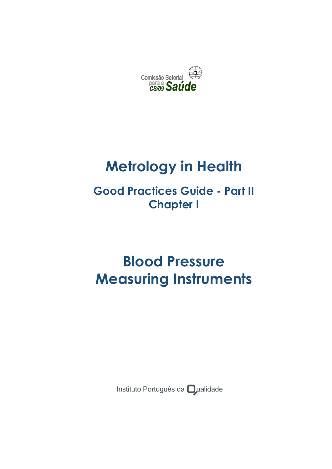

# **Metrology in Health**

# **Good Practices Guide - Part II Chapter I**

# **Blood Pressure Measuring Instruments**

Instituto Português da **O**ualidade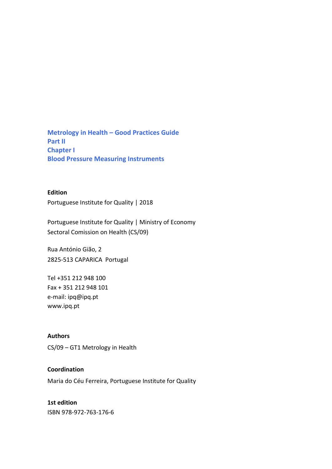**Metrology in Health – Good Practices Guide Part II Chapter I Blood Pressure Measuring Instruments**

#### **Edition**

Portuguese Institute for Quality | 2018

Portuguese Institute for Quality | Ministry of Economy Sectoral Comission on Health (CS/09)

Rua António Gião, 2 2825-513 CAPARICA Portugal

Tel +351 212 948 100 Fax + 351 212 948 101 e-mail: ipq@ipq.pt www.ipq.pt

#### **Authors**

CS/09 – GT1 Metrology in Health

#### **Coordination**

Maria do Céu Ferreira, Portuguese Institute for Quality

#### **1st edition**

ISBN 978-972-763-176-6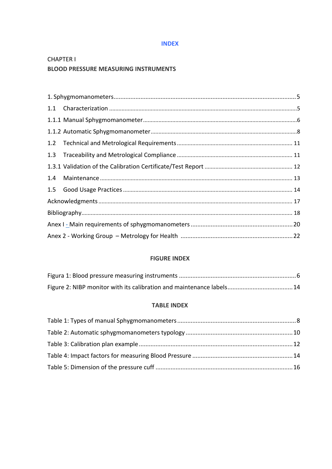#### **INDEX**

# **CHAPTER I BLOOD PRESSURE MEASURING INSTRUMENTS**

| 1.4 |  |  |  |
|-----|--|--|--|
|     |  |  |  |
|     |  |  |  |
|     |  |  |  |
|     |  |  |  |
|     |  |  |  |

#### **FIGURE INDEX**

#### **TABLE INDEX**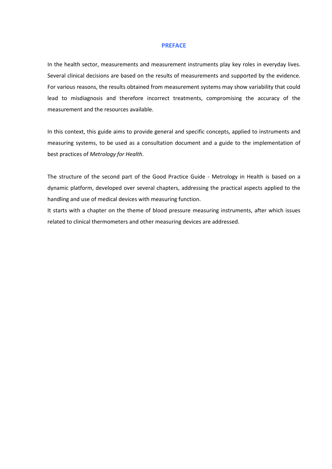#### **PREFACE**

In the health sector, measurements and measurement instruments play key roles in everyday lives. Several clinical decisions are based on the results of measurements and supported by the evidence. For various reasons, the results obtained from measurement systems may show variability that could lead to misdiagnosis and therefore incorrect treatments, compromising the accuracy of the measurement and the resources available.

In this context, this guide aims to provide general and specific concepts, applied to instruments and measuring systems, to be used as a consultation document and a guide to the implementation of best practices of *Metrology for Health*.

The structure of the second part of the Good Practice Guide - Metrology in Health is based on a dynamic platform, developed over several chapters, addressing the practical aspects applied to the handling and use of medical devices with measuring function.

It starts with a chapter on the theme of blood pressure measuring instruments, after which issues related to clinical thermometers and other measuring devices are addressed.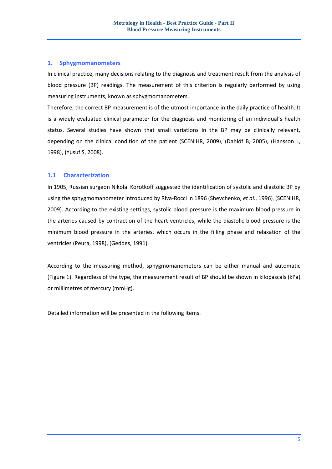#### <span id="page-4-0"></span>**1. Sphygmomanometers**

In clinical practice, many decisions relating to the diagnosis and treatment result from the analysis of blood pressure (BP) readings. The measurement of this criterion is regularly performed by using measuring instruments, known as sphygmomanometers.

Therefore, the correct BP measurement is of the utmost importance in the daily practice of health. It is a widely evaluated clinical parameter for the diagnosis and monitoring of an individual's health status. Several studies have shown that small variations in the BP may be clinically relevant, depending on the clinical condition of the patient (SCENIHR, 2009), (Dahlöf B, 2005), (Hansson L, 1998), (Yusuf S, 2008).

#### <span id="page-4-1"></span>**1.1 Characterization**

In 1905, Russian surgeon Nikolai Korotkoff suggested the identification of systolic and diastolic BP by using the sphygmomanometer introduced by Riva-Rocci in 1896 (Shevchenko, *et al.*, 1996), (SCENIHR, 2009). According to the existing settings, systolic blood pressure is the maximum blood pressure in the arteries caused by contraction of the heart ventricles, while the diastolic blood pressure is the minimum blood pressure in the arteries, which occurs in the filling phase and relaxation of the ventricles (Peura, 1998), (Geddes, 1991).

According to the measuring method, sphygmomanometers can be either manual and automatic (Figure 1). Regardless of the type, the measurement result of BP should be shown in kilopascals (kPa) or millimetres of mercury (mmHg).

Detailed information will be presented in the following items.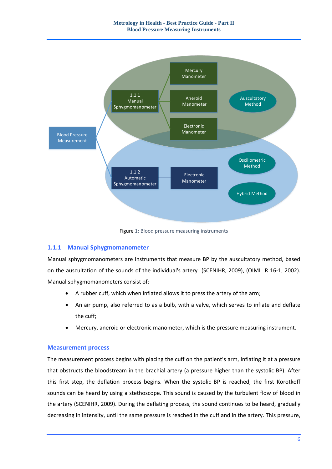

Figure 1: Blood pressure measuring instruments

#### <span id="page-5-1"></span><span id="page-5-0"></span>**1.1.1 Manual Sphygmomanometer**

Manual sphygmomanometers are instruments that measure BP by the auscultatory method, based on the auscultation of the sounds of the individual's artery (SCENIHR, 2009), (OIML R 16-1, 2002). Manual sphygmomanometers consist of:

- A rubber cuff, which when inflated allows it to press the artery of the arm;
- An air pump, also referred to as a bulb, with a valve, which serves to inflate and deflate the cuff;
- Mercury, aneroid or electronic manometer, which is the pressure measuring instrument.

#### **Measurement process**

The measurement process begins with placing the cuff on the patient's arm, inflating it at a pressure that obstructs the bloodstream in the brachial artery (a pressure higher than the systolic BP). After this first step, the deflation process begins. When the systolic BP is reached, the first Korotkoff sounds can be heard by using a stethoscope. This sound is caused by the turbulent flow of blood in the artery (SCENIHR, 2009). During the deflating process, the sound continues to be heard, gradually decreasing in intensity, until the same pressure is reached in the cuff and in the artery. This pressure,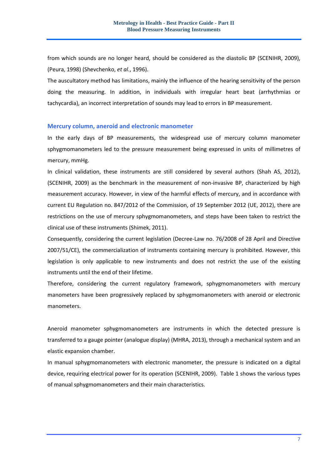from which sounds are no longer heard, should be considered as the diastolic BP (SCENIHR, 2009), (Peura, 1998) (Shevchenko, *et al.*, 1996).

The auscultatory method has limitations, mainly the influence of the hearing sensitivity of the person doing the measuring. In addition, in individuals with irregular heart beat (arrhythmias or tachycardia), an incorrect interpretation of sounds may lead to errors in BP measurement.

#### **Mercury column, aneroid and electronic manometer**

In the early days of BP measurements, the widespread use of mercury column manometer sphygmomanometers led to the pressure measurement being expressed in units of millimetres of mercury, mmHg.

In clinical validation, these instruments are still considered by several authors (Shah AS, 2012), (SCENIHR, 2009) as the benchmark in the measurement of non-invasive BP, characterized by high measurement accuracy. However, in view of the harmful effects of mercury, and in accordance with current EU Regulation no. 847/2012 of the Commission, of 19 September 2012 (UE, 2012), there are restrictions on the use of mercury sphygmomanometers, and steps have been taken to restrict the clinical use of these instruments (Shimek, 2011).

Consequently, considering the current legislation (Decree-Law no. 76/2008 of 28 April and Directive 2007/51/CE), the commercialization of instruments containing mercury is prohibited. However, this legislation is only applicable to new instruments and does not restrict the use of the existing instruments until the end of their lifetime.

Therefore, considering the current regulatory framework, sphygmomanometers with mercury manometers have been progressively replaced by sphygmomanometers with aneroid or electronic manometers.

Aneroid manometer sphygmomanometers are instruments in which the detected pressure is transferred to a gauge pointer (analogue display) (MHRA, 2013), through a mechanical system and an elastic expansion chamber.

In manual sphygmomanometers with electronic manometer, the pressure is indicated on a digital device, requiring electrical power for its operation (SCENIHR, 2009). Table 1 shows the various types of manual sphygmomanometers and their main characteristics.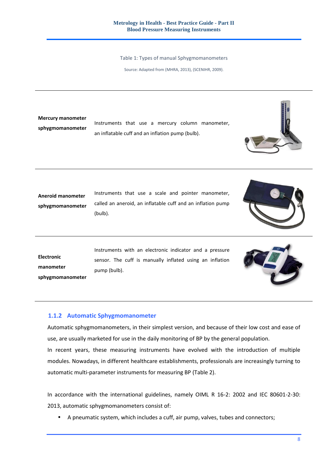Table 1: Types of manual Sphygmomanometers

Source: Adapted from (MHRA, 2013), (SCENIHR, 2009).

<span id="page-7-1"></span>**Mercury manometer sphygmomanometer**

Instruments that use a mercury column manometer, an inflatable cuff and an inflation pump (bulb).



**Aneroid manometer sphygmomanometer** Instruments that use a scale and pointer manometer, called an aneroid, an inflatable cuff and an inflation pump (bulb).



**Electronic manometer sphygmomanometer** Instruments with an electronic indicator and a pressure sensor. The cuff is manually inflated using an inflation pump (bulb).



#### <span id="page-7-0"></span>**1.1.2 Automatic Sphygmomanometer**

Automatic sphygmomanometers, in their simplest version, and because of their low cost and ease of use, are usually marketed for use in the daily monitoring of BP by the general population. In recent years, these measuring instruments have evolved with the introduction of multiple modules. Nowadays, in different healthcare establishments, professionals are increasingly turning to automatic multi-parameter instruments for measuring BP (Table 2).

In accordance with the international guidelines, namely OIML R 16-2: 2002 and IEC 80601-2-30: 2013, automatic sphygmomanometers consist of:

• A pneumatic system, which includes a cuff, air pump, valves, tubes and connectors;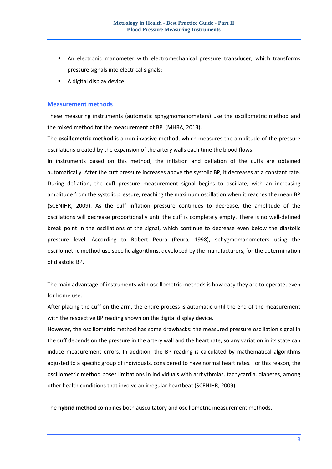- An electronic manometer with electromechanical pressure transducer, which transforms pressure signals into electrical signals;
- A digital display device.

#### **Measurement methods**

These measuring instruments (automatic sphygmomanometers) use the oscillometric method and the mixed method for the measurement of BP (MHRA, 2013).

The **oscillometric method** is a non-invasive method, which measures the amplitude of the pressure oscillations created by the expansion of the artery walls each time the blood flows.

In instruments based on this method, the inflation and deflation of the cuffs are obtained automatically. After the cuff pressure increases above the systolic BP, it decreases at a constant rate. During deflation, the cuff pressure measurement signal begins to oscillate, with an increasing amplitude from the systolic pressure, reaching the maximum oscillation when it reaches the mean BP (SCENIHR, 2009). As the cuff inflation pressure continues to decrease, the amplitude of the oscillations will decrease proportionally until the cuff is completely empty. There is no well-defined break point in the oscillations of the signal, which continue to decrease even below the diastolic pressure level. According to Robert Peura (Peura, 1998), sphygmomanometers using the oscillometric method use specific algorithms, developed by the manufacturers, for the determination of diastolic BP.

The main advantage of instruments with oscillometric methods is how easy they are to operate, even for home use.

After placing the cuff on the arm, the entire process is automatic until the end of the measurement with the respective BP reading shown on the digital display device.

However, the oscillometric method has some drawbacks: the measured pressure oscillation signal in the cuff depends on the pressure in the artery wall and the heart rate, so any variation in its state can induce measurement errors. In addition, the BP reading is calculated by mathematical algorithms adjusted to a specific group of individuals, considered to have normal heart rates. For this reason, the oscillometric method poses limitations in individuals with arrhythmias, tachycardia, diabetes, among other health conditions that involve an irregular heartbeat (SCENIHR, 2009).

The **hybrid method** combines both auscultatory and oscillometric measurement methods.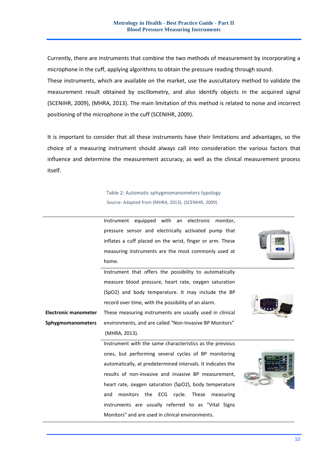Currently, there are instruments that combine the two methods of measurement by incorporating a microphone in the cuff, applying algorithms to obtain the pressure reading through sound.

These instruments, which are available on the market, use the auscultatory method to validate the measurement result obtained by oscillometry, and also identify objects in the acquired signal (SCENIHR, 2009), (MHRA, 2013). The main limitation of this method is related to noise and incorrect positioning of the microphone in the cuff (SCENIHR, 2009).

It is important to consider that all these instruments have their limitations and advantages, so the choice of a measuring instrument should always call into consideration the various factors that influence and determine the measurement accuracy, as well as the clinical measurement process itself.

# Table 2: Automatic sphygmomanometers typology Source: Adapted from (MHRA, 2013), (SCENIHR, 2009).

<span id="page-9-0"></span>

|                             | home.                                                       |  |
|-----------------------------|-------------------------------------------------------------|--|
|                             | Instrument that offers the possibility to automatically     |  |
|                             | measure blood pressure, heart rate, oxygen saturation       |  |
|                             | (SpO2) and body temperature. It may include the BP          |  |
|                             | record over time, with the possibility of an alarm.         |  |
| <b>Electronic manometer</b> | These measuring instruments are usually used in clinical    |  |
| <b>Sphygmomanometers</b>    | environments, and are called "Non-Invasive BP Monitors"     |  |
|                             | (MHRA, 2013).                                               |  |
|                             | Instrument with the same characteristics as the previous    |  |
|                             | ones, but performing several cycles of BP monitoring        |  |
|                             | automatically, at predetermined intervals. It indicates the |  |
|                             | results of non-invasive and invasive BP measurement,        |  |
|                             | heart rate, oxygen saturation (SpO2), body temperature      |  |
|                             | monitors the ECG cycle. These measuring<br>and              |  |
|                             | instruments are usually referred to as "Vital Signs         |  |
|                             | Monitors" and are used in clinical environments.            |  |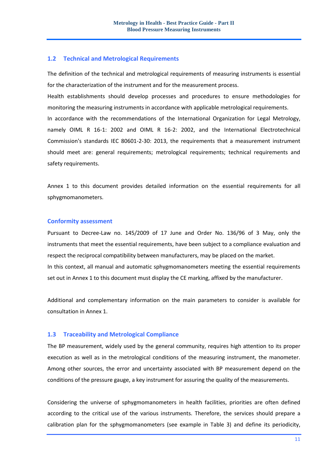#### <span id="page-10-0"></span>**1.2 Technical and Metrological Requirements**

The definition of the technical and metrological requirements of measuring instruments is essential for the characterization of the instrument and for the measurement process.

Health establishments should develop processes and procedures to ensure methodologies for monitoring the measuring instruments in accordance with applicable metrological requirements. In accordance with the recommendations of the International Organization for Legal Metrology, namely OIML R 16-1: 2002 and OIML R 16-2: 2002, and the International Electrotechnical Commission's standards IEC 80601-2-30: 2013, the requirements that a measurement instrument should meet are: general requirements; metrological requirements; technical requirements and

safety requirements.

Annex 1 to this document provides detailed information on the essential requirements for all sphygmomanometers.

#### **Conformity assessment**

Pursuant to Decree-Law no. 145/2009 of 17 June and Order No. 136/96 of 3 May, only the instruments that meet the essential requirements, have been subject to a compliance evaluation and respect the reciprocal compatibility between manufacturers, may be placed on the market. In this context, all manual and automatic sphygmomanometers meeting the essential requirements set out in Annex 1 to this document must display the CE marking, affixed by the manufacturer.

Additional and complementary information on the main parameters to consider is available for consultation in Annex 1.

#### <span id="page-10-1"></span>**1.3 Traceability and Metrological Compliance**

The BP measurement, widely used by the general community, requires high attention to its proper execution as well as in the metrological conditions of the measuring instrument, the manometer. Among other sources, the error and uncertainty associated with BP measurement depend on the conditions of the pressure gauge, a key instrument for assuring the quality of the measurements.

Considering the universe of sphygmomanometers in health facilities, priorities are often defined according to the critical use of the various instruments. Therefore, the services should prepare a calibration plan for the sphygmomanometers (see example in Table 3) and define its periodicity,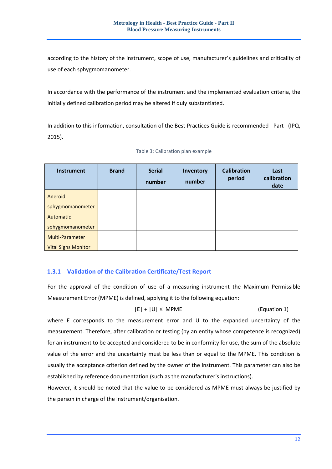according to the history of the instrument, scope of use, manufacturer's guidelines and criticality of use of each sphygmomanometer.

In accordance with the performance of the instrument and the implemented evaluation criteria, the initially defined calibration period may be altered if duly substantiated.

In addition to this information, consultation of the Best Practices Guide is recommended - Part I (IPQ, 2015).

<span id="page-11-1"></span>

| <b>Instrument</b>          | <b>Brand</b> | <b>Serial</b><br>number | Inventory<br>number | <b>Calibration</b><br>period | Last<br>calibration<br>date |
|----------------------------|--------------|-------------------------|---------------------|------------------------------|-----------------------------|
| Aneroid                    |              |                         |                     |                              |                             |
| sphygmomanometer           |              |                         |                     |                              |                             |
| Automatic                  |              |                         |                     |                              |                             |
| sphygmomanometer           |              |                         |                     |                              |                             |
| Multi-Parameter            |              |                         |                     |                              |                             |
| <b>Vital Signs Monitor</b> |              |                         |                     |                              |                             |

### <span id="page-11-0"></span>**1.3.1 Validation of the Calibration Certificate/Test Report**

For the approval of the condition of use of a measuring instrument the Maximum Permissible Measurement Error (MPME) is defined, applying it to the following equation:

#### $|E| + |U| \leq M$ PME (Equation 1)

where E corresponds to the measurement error and U to the expanded uncertainty of the measurement. Therefore, after calibration or testing (by an entity whose competence is recognized) for an instrument to be accepted and considered to be in conformity for use, the sum of the absolute value of the error and the uncertainty must be less than or equal to the MPME. This condition is usually the acceptance criterion defined by the owner of the instrument. This parameter can also be established by reference documentation (such as the manufacturer's instructions).

However, it should be noted that the value to be considered as MPME must always be justified by the person in charge of the instrument/organisation.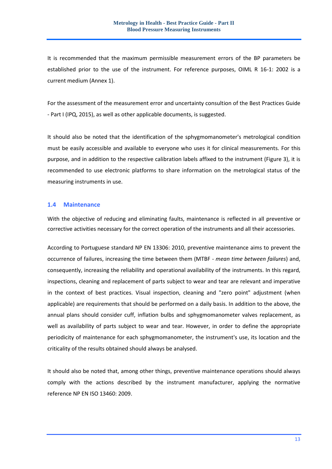It is recommended that the maximum permissible measurement errors of the BP parameters be established prior to the use of the instrument. For reference purposes, OIML R 16-1: 2002 is a current medium (Annex 1).

For the assessment of the measurement error and uncertainty consultion of the Best Practices Guide - Part I (IPQ, 2015), as well as other applicable documents, is suggested.

It should also be noted that the identification of the sphygmomanometer's metrological condition must be easily accessible and available to everyone who uses it for clinical measurements. For this purpose, and in addition to the respective calibration labels affixed to the instrument (Figure 3), it is recommended to use electronic platforms to share information on the metrological status of the measuring instruments in use.

#### <span id="page-12-0"></span>**1.4 Maintenance**

With the objective of reducing and eliminating faults, maintenance is reflected in all preventive or corrective activities necessary for the correct operation of the instruments and all their accessories.

According to Portuguese standard NP EN 13306: 2010, preventive maintenance aims to prevent the occurrence of failures, increasing the time between them (MTBF - *mean time between failures*) and, consequently, increasing the reliability and operational availability of the instruments. In this regard, inspections, cleaning and replacement of parts subject to wear and tear are relevant and imperative in the context of best practices. Visual inspection, cleaning and "zero point" adjustment (when applicable) are requirements that should be performed on a daily basis. In addition to the above, the annual plans should consider cuff, inflation bulbs and sphygmomanometer valves replacement, as well as availability of parts subject to wear and tear. However, in order to define the appropriate periodicity of maintenance for each sphygmomanometer, the instrument's use, its location and the criticality of the results obtained should always be analysed.

It should also be noted that, among other things, preventive maintenance operations should always comply with the actions described by the instrument manufacturer, applying the normative reference NP EN ISO 13460: 2009.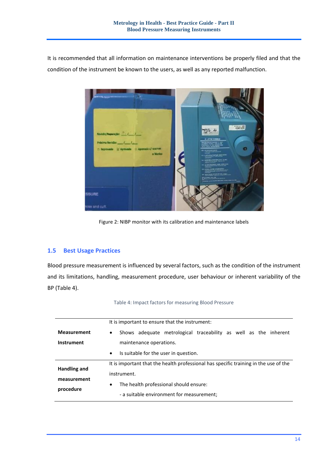It is recommended that all information on maintenance interventions be properly filed and that the condition of the instrument be known to the users, as well as any reported malfunction.



Figure 2: NIBP monitor with its calibration and maintenance labels

#### <span id="page-13-2"></span><span id="page-13-0"></span>**1.5 Best Usage Practices**

Blood pressure measurement is influenced by several factors, such as the condition of the instrument and its limitations, handling, measurement procedure, user behaviour or inherent variability of the BP (Table 4).

<span id="page-13-1"></span>

| It is important to ensure that the instrument: |                                                                                      |  |
|------------------------------------------------|--------------------------------------------------------------------------------------|--|
| <b>Measurement</b>                             | Shows adequate metrological traceability as well as the inherent<br>$\bullet$        |  |
| Instrument                                     | maintenance operations.                                                              |  |
|                                                | Is suitable for the user in question.<br>$\bullet$                                   |  |
|                                                | It is important that the health professional has specific training in the use of the |  |
| Handling and<br>measurement                    | instrument.                                                                          |  |
| procedure                                      | The health professional should ensure:<br>$\bullet$                                  |  |
|                                                | - a suitable environment for measurement;                                            |  |

Table 4: Impact factors for measuring Blood Pressure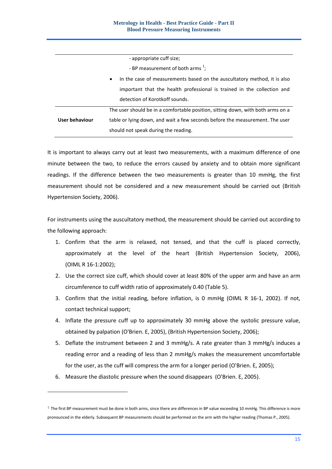| - appropriate cuff size;                                                              |                                                                                 |  |  |
|---------------------------------------------------------------------------------------|---------------------------------------------------------------------------------|--|--|
|                                                                                       | - BP measurement of both arms $\frac{1}{1}$ ;                                   |  |  |
| In the case of measurements based on the auscultatory method, it is also<br>$\bullet$ |                                                                                 |  |  |
| important that the health professional is trained in the collection and               |                                                                                 |  |  |
| detection of Korotkoff sounds.                                                        |                                                                                 |  |  |
|                                                                                       | The user should be in a comfortable position, sitting down, with both arms on a |  |  |
| User behaviour                                                                        | table or lying down, and wait a few seconds before the measurement. The user    |  |  |
|                                                                                       | should not speak during the reading.                                            |  |  |

It is important to always carry out at least two measurements, with a maximum difference of one minute between the two, to reduce the errors caused by anxiety and to obtain more significant readings. If the difference between the two measurements is greater than 10 mmHg, the first measurement should not be considered and a new measurement should be carried out (British Hypertension Society, 2006).

For instruments using the auscultatory method, the measurement should be carried out according to the following approach:

- 1. Confirm that the arm is relaxed, not tensed, and that the cuff is placed correctly, approximately at the level of the heart (British Hypertension Society, 2006), (OIML R 16-1:2002);
- 2. Use the correct size cuff, which should cover at least 80% of the upper arm and have an arm circumference to cuff width ratio of approximately 0.40 (Table 5).
- 3. Confirm that the initial reading, before inflation, is 0 mmHg (OIML R 16-1, 2002). If not, contact technical support;
- 4. Inflate the pressure cuff up to approximately 30 mmHg above the systolic pressure value, obtained by palpation (O'Brien. E, 2005), (British Hypertension Society, 2006);
- 5. Deflate the instrument between 2 and 3 mmHg/s. A rate greater than 3 mmHg/s induces a reading error and a reading of less than 2 mmHg/s makes the measurement uncomfortable for the user, as the cuff will compress the arm for a longer period (O'Brien. E, 2005);
- 6. Measure the diastolic pressure when the sound disappears (O'Brien. E, 2005).

-

 $1$  The first BP measurement must be done in both arms, since there are differences in BP value exceeding 10 mmHg. This difference is more pronounced in the elderly. Subsequent BP measurements should be performed on the arm with the higher reading (Thomas P., 2005).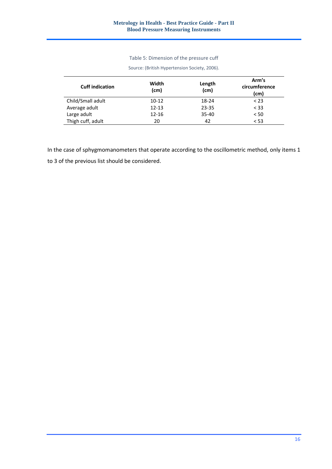#### Table 5: Dimension of the pressure cuff

| <b>Cuff indication</b> | Width<br>(cm) | Length<br>(cm) | Arm's<br>circumference<br>(cm) |
|------------------------|---------------|----------------|--------------------------------|
| Child/Small adult      | $10 - 12$     | 18-24          | < 23                           |
| Average adult          | $12 - 13$     | 23-35          | $<$ 33                         |
| Large adult            | $12 - 16$     | $35 - 40$      | < 50                           |
| Thigh cuff, adult      | 20            | 42             | < 53                           |

Source: (British Hypertension Society, 2006).

<span id="page-15-0"></span> $\overline{a}$ 

In the case of sphygmomanometers that operate according to the oscillometric method, only items 1 to 3 of the previous list should be considered.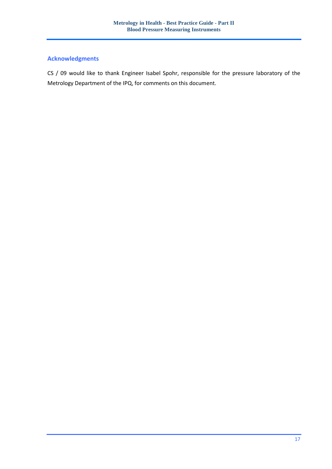# <span id="page-16-0"></span>**Acknowledgments**

CS / 09 would like to thank Engineer Isabel Spohr, responsible for the pressure laboratory of the Metrology Department of the IPQ, for comments on this document.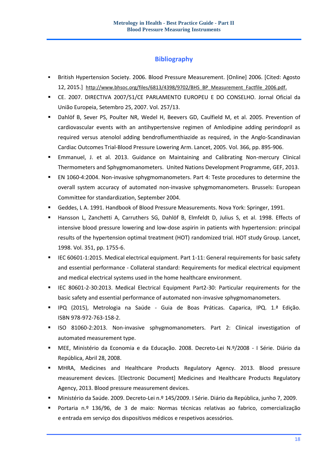#### **Bibliography**

- <span id="page-17-0"></span> British Hypertension Society. 2006. Blood Pressure Measurement. [Online] 2006. [Cited: Agosto 12, 2015.] [http://www.bhsoc.org/files/6813/4398/9702/BHS\\_BP\\_Measurement\\_Factfile\\_2006.pdf.](http://www.bhsoc.org/files/6813/4398/9702/BHS_BP_Measurement_Factfile_2006.pdf)
- CE. 2007. DIRECTIVA 2007/51/CE PARLAMENTO EUROPEU E DO CONSELHO. Jornal Oficial da União Europeia, Setembro 25, 2007. Vol. 257/13.
- Dahlöf B, Sever PS, Poulter NR, Wedel H, Beevers GD, Caulfield M, et al. 2005. Prevention of cardiovascular events with an antihypertensive regimen of Amlodipine adding perindopril as required versus atenolol adding bendroflumenthiazide as required, in the Anglo-Scandinavian Cardiac Outcomes Trial-Blood Pressure Lowering Arm. Lancet, 2005. Vol. 366, pp. 895-906.
- Emmanuel, J. et al. 2013. Guidance on Maintaining and Calibrating Non-mercury Clinical Thermometers and Sphygmomanometers. United Nations Development Programme, GEF, 2013.
- EN 1060-4:2004. Non-invasive sphygmomanometers. Part 4: Teste procedures to determine the overall system accuracy of automated non-invasive sphygmomanometers. Brussels: European Committee for standardization, September 2004.
- Geddes, L A. 1991. Handbook of Blood Pressure Measurements. Nova York: Springer, 1991.
- Hansson L, Zanchetti A, Carruthers SG, Dahlöf B, Elmfeldt D, Julius S, et al. 1998. Effects of intensive blood pressure lowering and low-dose aspirin in patients with hypertension: principal results of the hypertension optimal treatment (HOT) randomized trial. HOT study Group. Lancet, 1998. Vol. 351, pp. 1755-6.
- IEC 60601-1:2015. Medical electrical equipment. Part 1-11: General requirements for basic safety and essential performance - Collateral standard: Requirements for medical electrical equipment and medical electrical systems used in the home healthcare environment.
- IEC 80601-2-30:2013. Medical Electrical Equipment Part2-30: Particular requirements for the basic safety and essential performance of automated non-invasive sphygmomanometers.
- IPQ (2015), Metrologia na Saúde Guia de Boas Práticas. Caparica, IPQ. 1.ª Edição. ISBN 978-972-763-158-2.
- ISO 81060-2:2013. Non-invasive sphygmomanometers. Part 2: Clinical investigation of automated measurement type.
- MEE, Ministério da Economia e da Educação. 2008. Decreto-Lei N.º/2008 I Série. Diário da República, Abril 28, 2008.
- MHRA, Medicines and Healthcare Products Regulatory Agency. 2013. Blood pressure measurement devices. [Electronic Document] Medicines and Healthcare Products Regulatory Agency, 2013. Blood pressure measurement devices.
- Ministério da Saúde. 2009. Decreto-Lei n.º 145/2009. I Série. Diário da República, junho 7, 2009.
- Portaria n.º 136/96, de 3 de maio: Normas técnicas relativas ao fabrico, comercialização e entrada em serviço dos dispositivos médicos e respetivos acessórios.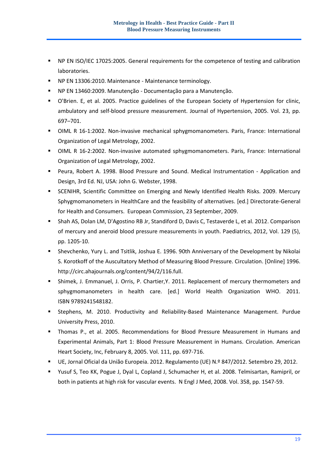- NP EN ISO/IEC 17025:2005. General requirements for the competence of testing and calibration laboratories.
- NP EN 13306:2010. Maintenance Maintenance terminology.
- NP EN 13460:2009. Manutenção Documentação para a Manutenção.
- O'Brien. E, et al. 2005. Practice guidelines of the European Society of Hypertension for clinic, ambulatory and self-blood pressure measurement. Journal of Hypertension, 2005. Vol. 23, pp. 697–701.
- OIML R 16-1:2002. Non-invasive mechanical sphygmomanometers. Paris, France: International Organization of Legal Metrology, 2002.
- OIML R 16-2:2002. Non-invasive automated sphygmomanometers. Paris, France: International Organization of Legal Metrology, 2002.
- Peura, Robert A. 1998. Blood Pressure and Sound. Medical Instrumentation Application and Design, 3rd Ed. NJ, USA: John G. Webster, 1998.
- **SCENIHR, Scientific Committee on Emerging and Newly Identified Health Risks. 2009. Mercury** Sphygmomanometers in HealthCare and the feasibility of alternatives. [ed.] Directorate-General for Health and Consumers. European Commission, 23 September, 2009.
- Shah AS, Dolan LM, D'Agostino RB Jr, Standiford D, Davis C, Testaverde L, et al. 2012. Comparison of mercury and aneroid blood pressure measurements in youth. Paediatrics, 2012, Vol. 129 (5), pp. 1205-10.
- Shevchenko, Yury L. and Tsitlik, Joshua E. 1996. 90th Anniversary of the Development by Nikolai S. Korotkoff of the Auscultatory Method of Measuring Blood Pressure. Circulation. [Online] 1996. [http://circ.ahajournals.org/content/94/2/116.full.](http://circ.ahajournals.org/content/94/2/116.full)
- Shimek, J. Emmanuel, J. Orris, P. Chartier,Y. 2011. Replacement of mercury thermometers and sphygmomanometers in health care. [ed.] World Health Organization WHO. 2011. ISBN 9789241548182.
- Stephens, M. 2010. Productivity and Reliability-Based Maintenance Management. Purdue University Press, 2010.
- Thomas P., et al. 2005. Recommendations for Blood Pressure Measurement in Humans and Experimental Animals, Part 1: Blood Pressure Measurement in Humans. Circulation. American Heart Society, Inc, February 8, 2005. Vol. 111, pp. 697-716.
- UE, Jornal Oficial da União Europeia. 2012. Regulamento (UE) N.º 847/2012. Setembro 29, 2012.
- Yusuf S, Teo KK, Pogue J, Dyal L, Copland J, Schumacher H, et al. 2008. Telmisartan, Ramipril, or both in patients at high risk for vascular events. N Engl J Med, 2008. Vol. 358, pp. 1547-59.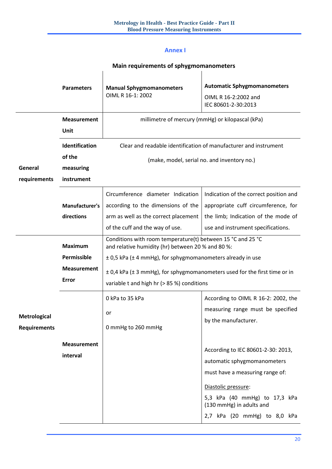#### **Annex I**

# **Main requirements of sphygmomanometers**

 $\overline{\phantom{a}}$ 

<span id="page-19-1"></span><span id="page-19-0"></span>

|                                            | <b>Parameters</b>                                                   | <b>Manual Sphygmomanometers</b><br>OIML R 16-1: 2002                                                                                                                                                                                                                                                                        | <b>Automatic Sphygmomanometers</b><br>OIML R 16-2:2002 and<br>IEC 80601-2-30:2013                                                                                                                                                                                                                                            |  |
|--------------------------------------------|---------------------------------------------------------------------|-----------------------------------------------------------------------------------------------------------------------------------------------------------------------------------------------------------------------------------------------------------------------------------------------------------------------------|------------------------------------------------------------------------------------------------------------------------------------------------------------------------------------------------------------------------------------------------------------------------------------------------------------------------------|--|
|                                            | <b>Measurement</b><br>Unit                                          | millimetre of mercury (mmHg) or kilopascal (kPa)                                                                                                                                                                                                                                                                            |                                                                                                                                                                                                                                                                                                                              |  |
| General<br>requirements                    | Identification<br>of the<br>measuring<br>instrument                 | Clear and readable identification of manufacturer and instrument<br>(make, model, serial no. and inventory no.)                                                                                                                                                                                                             |                                                                                                                                                                                                                                                                                                                              |  |
|                                            | <b>Manufacturer's</b><br>directions                                 | Circumference diameter Indication<br>according to the dimensions of the<br>arm as well as the correct placement<br>of the cuff and the way of use.                                                                                                                                                                          | Indication of the correct position and<br>appropriate cuff circumference, for<br>the limb; Indication of the mode of<br>use and instrument specifications.                                                                                                                                                                   |  |
|                                            | <b>Maximum</b><br>Permissible<br><b>Measurement</b><br><b>Error</b> | Conditions with room temperature(t) between 15 °C and 25 °C<br>and relative humidity (hr) between 20 % and 80 %:<br>$\pm$ 0,5 kPa ( $\pm$ 4 mmHg), for sphygmomanometers already in use<br>$\pm$ 0,4 kPa ( $\pm$ 3 mmHg), for sphygmomanometers used for the first time or in<br>variable t and high hr (> 85 %) conditions |                                                                                                                                                                                                                                                                                                                              |  |
| <b>Metrological</b><br><b>Requirements</b> | <b>Measurement</b><br>interval                                      | 0 kPa to 35 kPa<br>or<br>0 mmHg to 260 mmHg                                                                                                                                                                                                                                                                                 | According to OIML R 16-2: 2002, the<br>measuring range must be specified<br>by the manufacturer.<br>According to IEC 80601-2-30: 2013,<br>automatic sphygmomanometers<br>must have a measuring range of:<br>Diastolic pressure:<br>5,3 kPa (40 mmHg) to 17,3 kPa<br>(130 mmHg) in adults and<br>2,7 kPa (20 mmHg) to 8,0 kPa |  |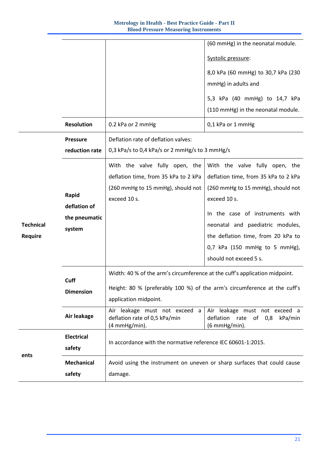|                  |                   |                                                                                 | (60 mmHg) in the neonatal module.                                               |  |  |
|------------------|-------------------|---------------------------------------------------------------------------------|---------------------------------------------------------------------------------|--|--|
|                  |                   |                                                                                 | Systolic pressure:                                                              |  |  |
|                  |                   |                                                                                 | 8,0 kPa (60 mmHg) to 30,7 kPa (230                                              |  |  |
|                  |                   |                                                                                 | mmHg) in adults and                                                             |  |  |
|                  |                   |                                                                                 | 5,3 kPa (40 mmHg) to 14,7 kPa                                                   |  |  |
|                  |                   |                                                                                 | (110 mmHg) in the neonatal module.                                              |  |  |
|                  | <b>Resolution</b> | 0.2 kPa or 2 mmHg                                                               | 0,1 kPa or 1 mmHg                                                               |  |  |
|                  | <b>Pressure</b>   | Deflation rate of deflation valves:                                             |                                                                                 |  |  |
|                  | reduction rate    | 0,3 kPa/s to 0,4 kPa/s or 2 mmHg/s to 3 mmHg/s                                  |                                                                                 |  |  |
|                  |                   | With the valve fully open, the                                                  | With the valve fully open, the                                                  |  |  |
|                  |                   | deflation time, from 35 kPa to 2 kPa                                            | deflation time, from 35 kPa to 2 kPa                                            |  |  |
|                  | Rapid             | (260 mmHg to 15 mmHg), should not                                               | (260 mmHg to 15 mmHg), should not                                               |  |  |
|                  | deflation of      | exceed 10 s.                                                                    | exceed 10 s.                                                                    |  |  |
|                  | the pneumatic     |                                                                                 | In the case of instruments with                                                 |  |  |
| <b>Technical</b> | system            |                                                                                 | neonatal and paediatric modules,                                                |  |  |
| Require          |                   |                                                                                 | the deflation time, from 20 kPa to                                              |  |  |
|                  |                   |                                                                                 | 0,7 kPa (150 mmHg to 5 mmHg),                                                   |  |  |
|                  |                   |                                                                                 | should not exceed 5 s.                                                          |  |  |
|                  | Cuff              | Width: 40 % of the arm's circumference at the cuff's application midpoint.      |                                                                                 |  |  |
|                  | <b>Dimension</b>  | Height: 80 % (preferably 100 %) of the arm's circumference at the cuff's        |                                                                                 |  |  |
|                  |                   | application midpoint.                                                           |                                                                                 |  |  |
|                  | Air leakage       | Air leakage must not exceed a<br>deflation rate of 0,5 kPa/min<br>(4 mmHg/min). | Air leakage must not exceed a<br>deflation rate of 0,8 kPa/min<br>(6 mmHg/min). |  |  |
|                  | <b>Electrical</b> |                                                                                 |                                                                                 |  |  |
| ents             | safety            | In accordance with the normative reference IEC 60601-1:2015.                    |                                                                                 |  |  |
|                  | <b>Mechanical</b> | Avoid using the instrument on uneven or sharp surfaces that could cause         |                                                                                 |  |  |
|                  | safety            | damage.                                                                         |                                                                                 |  |  |